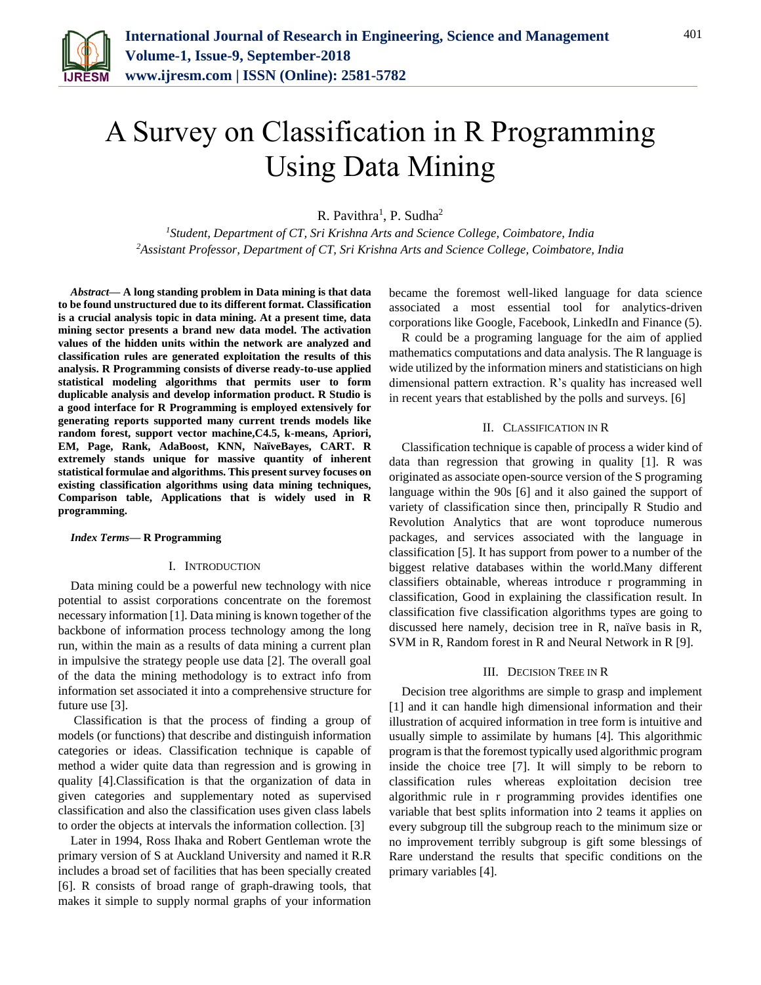

# A Survey on Classification in R Programming Using Data Mining

R. Pavithra<sup>1</sup>, P. Sudha<sup>2</sup>

*<sup>1</sup>Student, Department of CT, Sri Krishna Arts and Science College, Coimbatore, India 2Assistant Professor, Department of CT, Sri Krishna Arts and Science College, Coimbatore, India*

*Abstract***— A long standing problem in Data mining is that data to be found unstructured due to its different format. Classification is a crucial analysis topic in data mining. At a present time, data mining sector presents a brand new data model. The activation values of the hidden units within the network are analyzed and classification rules are generated exploitation the results of this analysis. R Programming consists of diverse ready-to-use applied statistical modeling algorithms that permits user to form duplicable analysis and develop information product. R Studio is a good interface for R Programming is employed extensively for generating reports supported many current trends models like random forest, support vector machine,C4.5, k-means, Apriori, EM, Page, Rank, AdaBoost, KNN, NaïveBayes, CART. R extremely stands unique for massive quantity of inherent statistical formulae and algorithms. This present survey focuses on existing classification algorithms using data mining techniques, Comparison table, Applications that is widely used in R programming.**

#### *Index Terms***— R Programming**

## I. INTRODUCTION

Data mining could be a powerful new technology with nice potential to assist corporations concentrate on the foremost necessary information [1]. Data mining is known together of the backbone of information process technology among the long run, within the main as a results of data mining a current plan in impulsive the strategy people use data [2]. The overall goal of the data the mining methodology is to extract info from information set associated it into a comprehensive structure for future use [3].

Classification is that the process of finding a group of models (or functions) that describe and distinguish information categories or ideas. Classification technique is capable of method a wider quite data than regression and is growing in quality [4].Classification is that the organization of data in given categories and supplementary noted as supervised classification and also the classification uses given class labels to order the objects at intervals the information collection. [3]

Later in 1994, Ross Ihaka and Robert Gentleman wrote the primary version of S at Auckland University and named it R.R includes a broad set of facilities that has been specially created [6]. R consists of broad range of graph-drawing tools, that makes it simple to supply normal graphs of your information

became the foremost well-liked language for data science associated a most essential tool for analytics-driven corporations like Google, Facebook, LinkedIn and Finance (5).

R could be a programing language for the aim of applied mathematics computations and data analysis. The R language is wide utilized by the information miners and statisticians on high dimensional pattern extraction. R's quality has increased well in recent years that established by the polls and surveys. [6]

#### II. CLASSIFICATION IN R

Classification technique is capable of process a wider kind of data than regression that growing in quality [1]. R was originated as associate open-source version of the S programing language within the 90s [6] and it also gained the support of variety of classification since then, principally R Studio and Revolution Analytics that are wont toproduce numerous packages, and services associated with the language in classification [5]. It has support from power to a number of the biggest relative databases within the world.Many different classifiers obtainable, whereas introduce r programming in classification, Good in explaining the classification result. In classification five classification algorithms types are going to discussed here namely, decision tree in R, naïve basis in R, SVM in R, Random forest in R and Neural Network in R [9].

#### III. DECISION TREE IN R

Decision tree algorithms are simple to grasp and implement [1] and it can handle high dimensional information and their illustration of acquired information in tree form is intuitive and usually simple to assimilate by humans [4]. This algorithmic program is that the foremost typically used algorithmic program inside the choice tree [7]. It will simply to be reborn to classification rules whereas exploitation decision tree algorithmic rule in r programming provides identifies one variable that best splits information into 2 teams it applies on every subgroup till the subgroup reach to the minimum size or no improvement terribly subgroup is gift some blessings of Rare understand the results that specific conditions on the primary variables [4].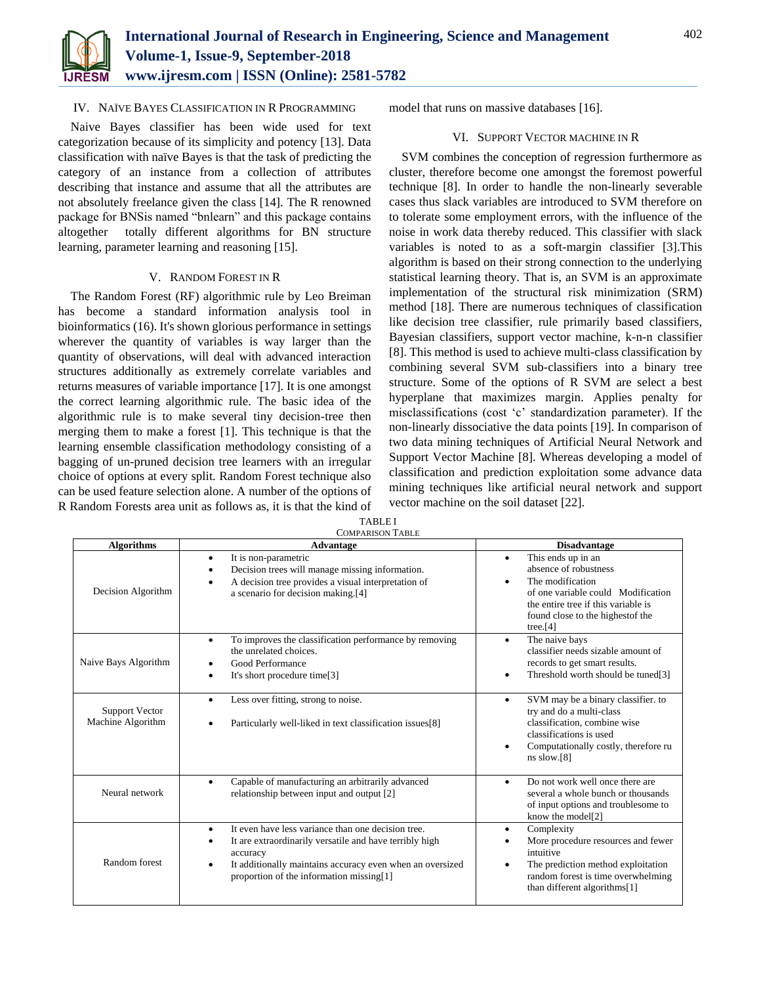

## IV. NAÏVE BAYES CLASSIFICATION IN R PROGRAMMING

Naive Bayes classifier has been wide used for text categorization because of its simplicity and potency [13]. Data classification with naïve Bayes is that the task of predicting the category of an instance from a collection of attributes describing that instance and assume that all the attributes are not absolutely freelance given the class [14]. The R renowned package for BNSis named "bnlearn" and this package contains altogether totally different algorithms for BN structure learning, parameter learning and reasoning [15].

## V. RANDOM FOREST IN R

The Random Forest (RF) algorithmic rule by Leo Breiman has become a standard information analysis tool in bioinformatics (16). It's shown glorious performance in settings wherever the quantity of variables is way larger than the quantity of observations, will deal with advanced interaction structures additionally as extremely correlate variables and returns measures of variable importance [17]. It is one amongst the correct learning algorithmic rule. The basic idea of the algorithmic rule is to make several tiny decision-tree then merging them to make a forest [1]. This technique is that the learning ensemble classification methodology consisting of a bagging of un-pruned decision tree learners with an irregular choice of options at every split. Random Forest technique also can be used feature selection alone. A number of the options of R Random Forests area unit as follows as, it is that the kind of model that runs on massive databases [16].

## VI. SUPPORT VECTOR MACHINE IN R

SVM combines the conception of regression furthermore as cluster, therefore become one amongst the foremost powerful technique [8]. In order to handle the non-linearly severable cases thus slack variables are introduced to SVM therefore on to tolerate some employment errors, with the influence of the noise in work data thereby reduced. This classifier with slack variables is noted to as a soft-margin classifier [3].This algorithm is based on their strong connection to the underlying statistical learning theory. That is, an SVM is an approximate implementation of the structural risk minimization (SRM) method [18]. There are numerous techniques of classification like decision tree classifier, rule primarily based classifiers, Bayesian classifiers, support vector machine, k-n-n classifier [8]. This method is used to achieve multi-class classification by combining several SVM sub-classifiers into a binary tree structure. Some of the options of R SVM are select a best hyperplane that maximizes margin. Applies penalty for misclassifications (cost 'c' standardization parameter). If the non-linearly dissociative the data points [19]. In comparison of two data mining techniques of Artificial Neural Network and Support Vector Machine [8]. Whereas developing a model of classification and prediction exploitation some advance data mining techniques like artificial neural network and support vector machine on the soil dataset [22].

| <b>Algorithms</b>                          | <b>COMPARISON TABLE</b>                                                                                                                                                                                                                                           |                                                                                                                                                                                                                           |
|--------------------------------------------|-------------------------------------------------------------------------------------------------------------------------------------------------------------------------------------------------------------------------------------------------------------------|---------------------------------------------------------------------------------------------------------------------------------------------------------------------------------------------------------------------------|
|                                            | Advantage                                                                                                                                                                                                                                                         | <b>Disadvantage</b>                                                                                                                                                                                                       |
| Decision Algorithm                         | It is non-parametric<br>$\bullet$<br>Decision trees will manage missing information.<br>٠<br>A decision tree provides a visual interpretation of<br>٠<br>a scenario for decision making.[4]                                                                       | This ends up in an<br>$\bullet$<br>absence of robustness<br>The modification<br>$\bullet$<br>of one variable could Modification<br>the entire tree if this variable is<br>found close to the highest f the<br>tree. $[4]$ |
| Naive Bays Algorithm                       | To improves the classification performance by removing<br>$\bullet$<br>the unrelated choices.<br>Good Performance<br>٠<br>It's short procedure time[3]<br>$\bullet$                                                                                               | The naive bays<br>$\bullet$<br>classifier needs sizable amount of<br>records to get smart results.<br>Threshold worth should be tuned[3]<br>$\bullet$                                                                     |
| <b>Support Vector</b><br>Machine Algorithm | Less over fitting, strong to noise.<br>$\bullet$<br>Particularly well-liked in text classification issues[8]                                                                                                                                                      | SVM may be a binary classifier. to<br>$\bullet$<br>try and do a multi-class<br>classification, combine wise<br>classifications is used<br>Computationally costly, therefore ru<br>$\bullet$<br>$ns$ slow.[8]              |
| Neural network                             | Capable of manufacturing an arbitrarily advanced<br>$\bullet$<br>relationship between input and output [2]                                                                                                                                                        | Do not work well once there are<br>$\bullet$<br>several a whole bunch or thousands<br>of input options and troublesome to<br>know the model <sup>[2]</sup>                                                                |
| Random forest                              | It even have less variance than one decision tree.<br>$\bullet$<br>It are extraordinarily versatile and have terribly high<br>٠<br>accuracy<br>It additionally maintains accuracy even when an oversized<br>$\bullet$<br>proportion of the information missing[1] | Complexity<br>$\bullet$<br>More procedure resources and fewer<br>intuitive<br>The prediction method exploitation<br>$\bullet$<br>random forest is time overwhelming<br>than different algorithms[1]                       |

TABLE I